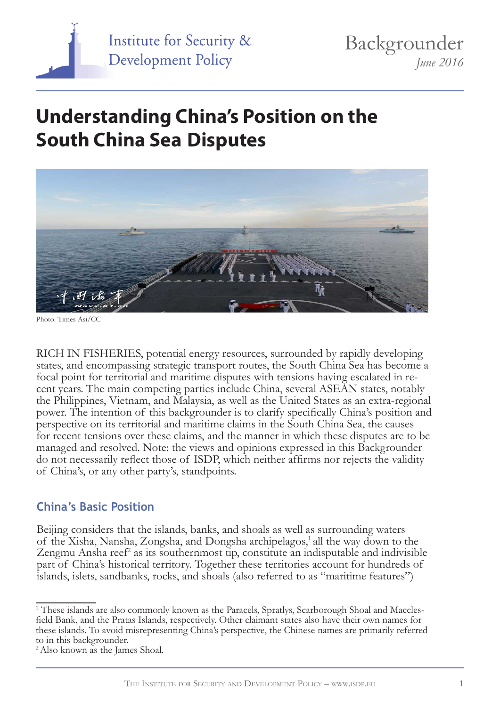

# **Understanding China's Position on the South China Sea Disputes**



Photo: Times Asi/CC

RICH IN FISHERIES, potential energy resources, surrounded by rapidly developing states, and encompassing strategic transport routes, the South China Sea has become a focal point for territorial and maritime disputes with tensions having escalated in re- cent years. The main competing parties include China, several ASEAN states, notably the Philippines, Vietnam, and Malaysia, as well as the United States as an extra-regional power. The intention of this backgrounder is to clarify specifically China's position and perspective on its territorial and maritime claims in the South China Sea, the causes for recent tensions over these claims, and the manner in which these disputes are to be managed and resolved. Note: the views and opinions expressed in this Backgrounder do not necessarily reflect those of ISDP, which neither affirms nor rejects the validity of China's, or any other party's, standpoints.

#### **China's Basic Position**

Beijing considers that the islands, banks, and shoals as well as surrounding waters of the Xisha, Nansha, Zongsha, and Dongsha archipelagos,<sup>1</sup> all the way down to the Zengmu Ansha reef<sup>2</sup> as its southernmost tip, constitute an indisputable and indivisible part of China's historical territory. Together these territories account for hundreds of islands, islets, sandbanks, rocks, and shoals (also referred to as "maritime features")

<sup>&</sup>lt;sup>1</sup> These islands are also commonly known as the Paracels, Spratlys, Scarborough Shoal and Macclesfield Bank, and the Pratas Islands, respectively. Other claimant states also have their own names for these islands. To avoid misrepresenting China's perspective, the Chinese names are primarily referred to in this backgrounder.

<sup>2</sup> Also known as the James Shoal.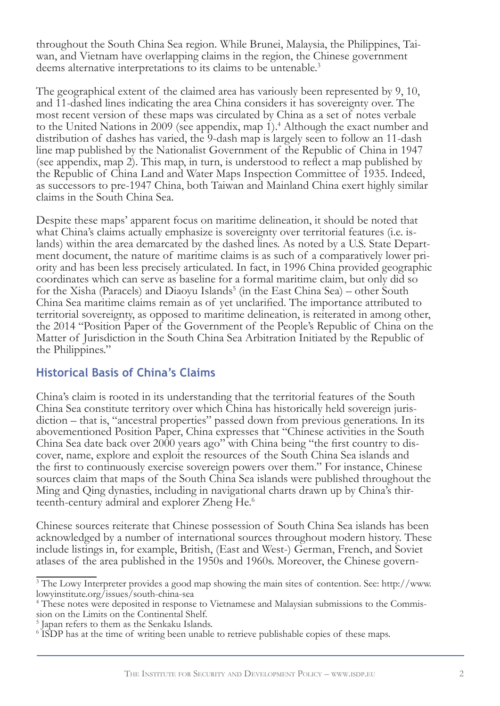throughout the South China Sea region. While Brunei, Malaysia, the Philippines, Taiwan, and Vietnam have overlapping claims in the region, the Chinese government deems alternative interpretations to its claims to be untenable.<sup>3</sup>

The geographical extent of the claimed area has variously been represented by 9, 10, and 11-dashed lines indicating the area China considers it has sovereignty over. The most recent version of these maps was circulated by China as a set of notes verbale to the United Nations in 2009 (see appendix, map 1).<sup>4</sup> Although the exact number and distribution of dashes has varied, the 9-dash map is largely seen to follow an 11-dash line map published by the Nationalist Government of the Republic of China in 1947 (see appendix, map 2). This map, in turn, is understood to reflect a map published by the Republic of China Land and Water Maps Inspection Committee of 1935. Indeed, as successors to pre-1947 China, both Taiwan and Mainland China exert highly similar claims in the South China Sea.

Despite these maps' apparent focus on maritime delineation, it should be noted that what China's claims actually emphasize is sovereignty over territorial features (i.e. islands) within the area demarcated by the dashed lines. As noted by a U.S. State Department document, the nature of maritime claims is as such of a comparatively lower priority and has been less precisely articulated. In fact, in 1996 China provided geographic coordinates which can serve as baseline for a formal maritime claim, but only did so for the Xisha (Paracels) and Diaoyu Islands<sup>5</sup> (in the East China Sea) – other South China Sea maritime claims remain as of yet unclarified. The importance attributed to territorial sovereignty, as opposed to maritime delineation, is reiterated in among other, the 2014 "Position Paper of the Government of the People's Republic of China on the Matter of Jurisdiction in the South China Sea Arbitration Initiated by the Republic of the Philippines."

# **Historical Basis of China's Claims**

China's claim is rooted in its understanding that the territorial features of the South China Sea constitute territory over which China has historically held sovereign juris- diction – that is, "ancestral properties" passed down from previous generations. In its abovementioned Position Paper, China expresses that "Chinese activities in the South China Sea date back over 2000 years ago" with China being "the first country to dis- cover, name, explore and exploit the resources of the South China Sea islands and the first to continuously exercise sovereign powers over them." For instance, Chinese sources claim that maps of the South China Sea islands were published throughout the Ming and Qing dynasties, including in navigational charts drawn up by China's thir-<br>teenth-century admiral and explorer Zheng He.<sup>6</sup>

Chinese sources reiterate that Chinese possession of South China Sea islands has been acknowledged by a number of international sources throughout modern history. These include listings in, for example, British, (East and West-) German, French, and Soviet atlases of the area published in the 1950s and 1960s. Moreover, the Chinese govern-

<sup>&</sup>lt;sup>3</sup> The Lowy Interpreter provides a good map showing the main sites of contention. See: http://www. lowyinstitute.org/issues/south-china-sea

<sup>&</sup>lt;sup>4</sup> These notes were deposited in response to Vietnamese and Malaysian submissions to the Commission on the Limits on the Continental Shelf.

<sup>5</sup> Japan refers to them as the Senkaku Islands.

<sup>&</sup>lt;sup>6</sup> ISDP has at the time of writing been unable to retrieve publishable copies of these maps.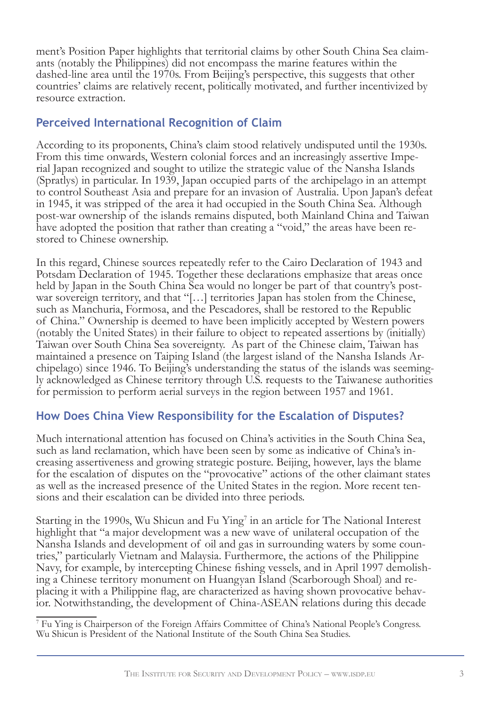ment's Position Paper highlights that territorial claims by other South China Sea claim- ants (notably the Philippines) did not encompass the marine features within the dashed-line area until the 1970s. From Beijing's perspective, this suggests that other countries' claims are relatively recent, politically motivated, and further incentivized by resource extraction.

#### **Perceived International Recognition of Claim**

According to its proponents, China's claim stood relatively undisputed until the 1930s. From this time onwards, Western colonial forces and an increasingly assertive Imperial Japan recognized and sought to utilize the strategic value of the Nansha Islands (Spratlys) in particular. In 1939, Japan occupied parts of the archipelago in an attempt to control Southeast Asia and prepare for an invasion of Australia. Upon Japan's defeat in 1945, it was stripped of the area it had occupied in the South China Sea. Although post-war ownership of the islands remains disputed, both Mainland China and Taiwan have adopted the position that rather than creating a "void," the areas have been re- stored to Chinese ownership.

In this regard, Chinese sources repeatedly refer to the Cairo Declaration of 1943 and Potsdam Declaration of 1945. Together these declarations emphasize that areas once held by Japan in the South China Sea would no longer be part of that country's postwar sovereign territory, and that "[...] territories Japan has stolen from the Chinese, such as Manchuria, Formosa, and the Pescadores, shall be restored to the Republic of China." Ownership is deemed to have been implicitly accepted by Western powers (notably the United States) in their failure to object to repeated assertions by (initially) Taiwan over South China Sea sovereignty. As part of the Chinese claim, Taiwan has maintained a presence on Taiping Island (the largest island of the Nansha Islands Archipelago) since 1946. To Beijing's understanding the status of the islands was seemingly acknowledged as Chinese territory through U.S. requests to the Taiwanese authorities for permission to perform aerial surveys in the region between 1957 and 1961.

# **How Does China View Responsibility for the Escalation of Disputes?**

Much international attention has focused on China's activities in the South China Sea, such as land reclamation, which have been seen by some as indicative of China's increasing assertiveness and growing strategic posture. Beijing, however, lays the blame for the escalation of disputes on the "provocative" actions of the other claimant states as well as the increased presence of the United States in the region. More recent tensions and their escalation can be divided into three periods.

Starting in the 1990s, Wu Shicun and Fu Ying<sup>7</sup> in an article for The National Interest highlight that "a major development was a new wave of unilateral occupation of the Nansha Islands and development of oil and gas in surrounding waters by some countries," particularly Vietnam and Malaysia. Furthermore, the actions of the Philippine Navy, for example, by intercepting Chinese fishing vessels, and in April 1997 demolishing a Chinese territory monument on Huangyan Island (Scarborough Shoal) and replacing it with a Philippine flag, are characterized as having shown provocative behavior. Notwithstanding, the development of China-ASEAN relations during this decade

7 Fu Ying is Chairperson of the Foreign Affairs Committee of China's National People's Congress. Wu Shicun is President of the National Institute of the South China Sea Studies.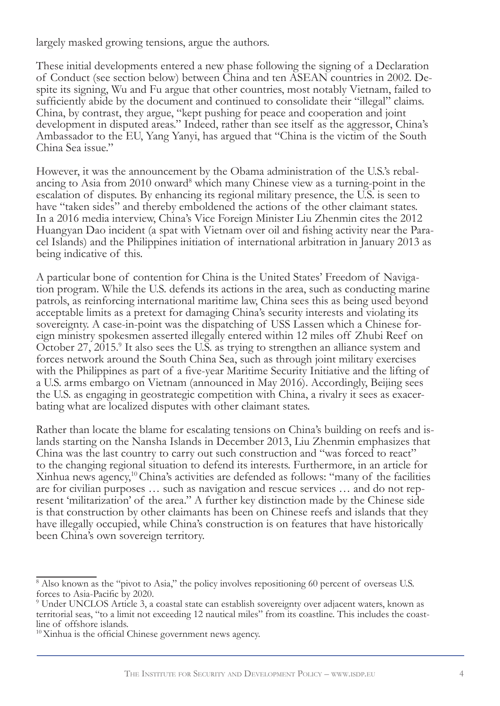largely masked growing tensions, argue the authors.

These initial developments entered a new phase following the signing of a Declaration of Conduct (see section below) between China and ten ASEAN countries in 2002. De- spite its signing, Wu and Fu argue that other countries, most notably Vietnam, failed to sufficiently abide by the document and continued to consolidate their "illegal" claims. China, by contrast, they argue, "kept pushing for peace and cooperation and joint development in disputed areas." Indeed, rather than see itself as the aggressor, China's Ambassador to the EU, Yang Yanyi, has argued that "China is the victim of the South China Sea issue."

However, it was the announcement by the Obama administration of the U.S.'s rebalancing to Asia from 2010 onward<sup>8</sup> which many Chinese view as a turning-point in the escalation of disputes. By enhancing its regional military presence, the U.S. is seen to have "taken sides" and thereby emboldened the actions of the other claimant states. In a 2016 media interview, China's Vice Foreign Minister Liu Zhenmin cites the 2012 Huangyan Dao incident (a spat with Vietnam over oil and fishing activity near the Para- cel Islands) and the Philippines initiation of international arbitration in January 2013 as being indicative of this.

A particular bone of contention for China is the United States' Freedom of Navigation program. While the U.S. defends its actions in the area, such as conducting marine patrols, as reinforcing international maritime law, China sees this as being used beyond acceptable limits as a pretext for damaging China's security interests and violating its sovereignty. A case-in-point was the dispatching of USS Lassen which a Chinese foreign ministry spokesmen asserted illegally entered within 12 miles off Zhubi Reef on October 27, 2015.<sup>9</sup> It also sees the U.S. as trying to strengthen an alliance system and forces network around the South China Sea, such as through joint military exercises with the Philippines as part of a five-year Maritime Security Initiative and the lifting of a U.S. arms embargo on Vietnam (announced in May 2016). Accordingly, Beijing sees the U.S. as engaging in geostrategic competition with China, a rivalry it sees as exacerbating what are localized disputes with other claimant states.

Rather than locate the blame for escalating tensions on China's building on reefs and islands starting on the Nansha Islands in December 2013, Liu Zhenmin emphasizes that China was the last country to carry out such construction and "was forced to react" to the changing regional situation to defend its interests. Furthermore, in an article for Xinhua news agency,<sup>10</sup> China's activities are defended as follows: "many of the facilities are for civilian purposes … such as navigation and rescue services … and do not represent 'militarization' of the area." A further key distinction made by the Chinese side is that construction by other claimants has been on Chinese reefs and islands that they have illegally occupied, while China's construction is on features that have historically been China's own sovereign territory.

<sup>&</sup>lt;sup>8</sup> Also known as the "pivot to Asia," the policy involves repositioning 60 percent of overseas U.S. forces to Asia-Pacific by 2020.

<sup>9</sup> Under UNCLOS Article 3, a coastal state can establish sovereignty over adjacent waters, known as territorial seas, "to a limit not exceeding 12 nautical miles" from its coastline. This includes the coast- line of offshore islands.

<sup>&</sup>lt;sup>10</sup> Xinhua is the official Chinese government news agency.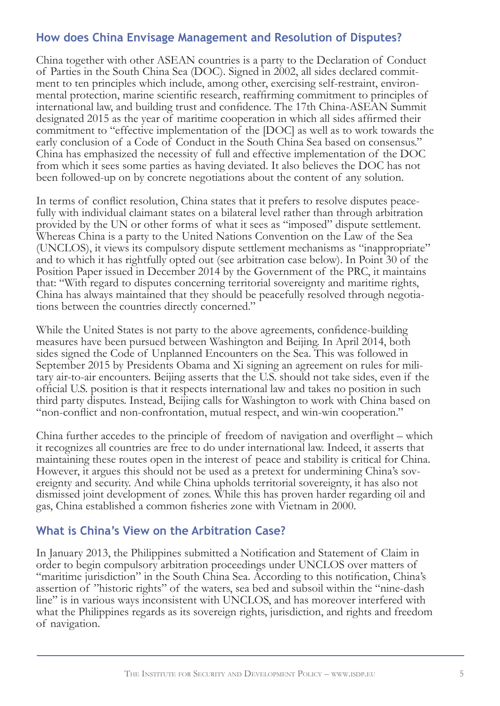### **How does China Envisage Management and Resolution of Disputes?**

China together with other ASEAN countries is a party to the Declaration of Conduct of Parties in the South China Sea (DOC). Signed in 2002, all sides declared commitment to ten principles which include, among other, exercising self-restraint, environ-<br>mental protection, marine scientific research, reaffirming commitment to principles of international law, and building trust and confidence. The 17th China-ASEAN Summit designated 2015 as the year of maritime cooperation in which all sides affirmed their commitment to "effective implementation of the [DOC] as well as to work towards the early conclusion of a Code of Conduct in the South China Sea based on consensus." China has emphasized the necessity of full and effective implementation of the DOC from which it sees some parties as having deviated. It also believes the DOC has not been followed-up on by concrete negotiations about the content of any solution.

In terms of conflict resolution, China states that it prefers to resolve disputes peacefully with individual claimant states on a bilateral level rather than through arbitration provided by the UN or other forms of what it sees as "imposed" dispute settlement. Whereas China is a party to the United Nations Convention on the Law of the Sea (UNCLOS), it views its compulsory dispute settlement mechanisms as "inappropriate" and to which it has rightfully opted out (see arbitration case below). In Point 30 of the Position Paper issued in December 2014 by the Government of the PRC, it maintains that: "With regard to disputes concerning territorial sovereignty and maritime rights, China has always maintained that they should be peacefully resolved through negotiations between the countries directly concerned."

While the United States is not party to the above agreements, confidence-building measures have been pursued between Washington and Beijing. In April 2014, both sides signed the Code of Unplanned Encounters on the Sea. This was followed in September 2015 by Presidents Obama and Xi signing an agreement on rules for mili- tary air-to-air encounters. Beijing asserts that the U.S. should not take sides, even if the official U.S. position is that it respects international law and takes no position in such third party disputes. Instead, Beijing calls for Washington to work with China based on "non-conflict and non-confrontation, mutual respect, and win-win cooperation."

China further accedes to the principle of freedom of navigation and overflight – which it recognizes all countries are free to do under international law. Indeed, it asserts that maintaining these routes open in the interest of peace and stability is critical for China. However, it argues this should not be used as a pretext for undermining China's sovereignty and security. And while China upholds territorial sovereignty, it has also not dismissed joint development of zones. While this has proven harder regarding oil and gas, China established a common fisheries zone with Vietnam in 2000.

#### **What is China's View on the Arbitration Case?**

In January 2013, the Philippines submitted a Notification and Statement of Claim in order to begin compulsory arbitration proceedings under UNCLOS over matters of "maritime jurisdiction" in the South China Sea. According to this notification, China's assertion of "historic rights" of the waters, sea bed and subsoil within the "nine-dash line" is in various ways inconsistent with UNCLOS, and has moreover interfered with what the Philippines regards as its sovereign rights, jurisdiction, and rights and freedom of navigation.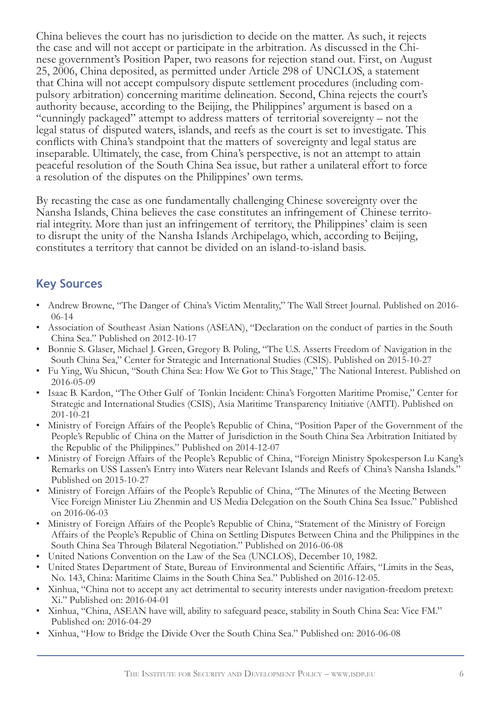China believes the court has no jurisdiction to decide on the matter. As such, it rejects the case and will not accept or participate in the arbitration. As discussed in the Chinese government's Position Paper, two reasons for rejection stand out. First, on August 25, 2006, China deposited, as permitted under Article 298 of UNCLOS, a statement that China will not accept compulsory dispute settlement procedures (including compulsory arbitration) concerning maritime delineation. Second, China rejects the court's authority because, according to the Beijing, the Philippines' argument is based on a "cunningly packaged" attempt to address matters of territorial sovereignty – not the legal status of disputed waters, islands, and reefs as the court is set to investigate. This conflicts with China's standpoint that the matters of sovereignty and legal status are inseparable. Ultimately, the case, from China's perspective, is not an attempt to attain peaceful resolution of the South China Sea issue, but rather a unilateral effort to force a resolution of the disputes on the Philippines' own terms.

By recasting the case as one fundamentally challenging Chinese sovereignty over the Nansha Islands, China believes the case constitutes an infringement of Chinese territorial integrity. More than just an infringement of territory, the Philippines' claim is seen to disrupt the unity of the Nansha Islands Archipelago, which, according to Beijing, constitutes a territory that cannot be divided on an island-to-island basis.

### **Key Sources**

- Andrew Browne, "The Danger of China's Victim Mentality," The Wall Street Journal. Published on 2016- 06-14
- Association of Southeast Asian Nations (ASEAN), "Declaration on the conduct of parties in the South China Sea." Published on 2012-10-17
- Bonnie S. Glaser, Michael J. Green, Gregory B. Poling, "The U.S. Asserts Freedom of Navigation in the South China Sea," Center for Strategic and International Studies (CSIS). Published on 2015-10-27
- Fu Ying, Wu Shicun, "South China Sea: How We Got to This Stage," The National Interest. Published on 2016-05-09
- Isaac B. Kardon, "The Other Gulf of Tonkin Incident: China's Forgotten Maritime Promise," Center for Strategic and International Studies (CSIS), Asia Maritime Transparency Initiative (AMTI). Published on 201-10-21
- Ministry of Foreign Affairs of the People's Republic of China, "Position Paper of the Government of the People's Republic of China on the Matter of Jurisdiction in the South China Sea Arbitration Initiated by the Republic of the Philippines." Published on 2014-12-07
- Ministry of Foreign Affairs of the People's Republic of China, "Foreign Ministry Spokesperson Lu Kang's Remarks on USS Lassen's Entry into Waters near Relevant Islands and Reefs of China's Nansha Islands." Published on 2015-10-27
- Ministry of Foreign Affairs of the People's Republic of China, "The Minutes of the Meeting Between Vice Foreign Minister Liu Zhenmin and US Media Delegation on the South China Sea Issue." Published on 2016-06-03
- Ministry of Foreign Affairs of the People's Republic of China, "Statement of the Ministry of Foreign Affairs of the People's Republic of China on Settling Disputes Between China and the Philippines in the South China Sea Through Bilateral Negotiation." Published on 2016-06-08
- United Nations Convention on the Law of the Sea (UNCLOS), December 10, 1982.
- United States Department of State, Bureau of Environmental and Scientific Affairs, "Limits in the Seas, No. 143, China: Maritime Claims in the South China Sea." Published on 2016-12-05.
- Xinhua, "China not to accept any act detrimental to security interests under navigation-freedom pretext: Xi." Published on: 2016-04-01
- Xinhua, "China, ASEAN have will, ability to safeguard peace, stability in South China Sea: Vice FM." Published on: 2016-04-29
- Xinhua, "How to Bridge the Divide Over the South China Sea." Published on: 2016-06-08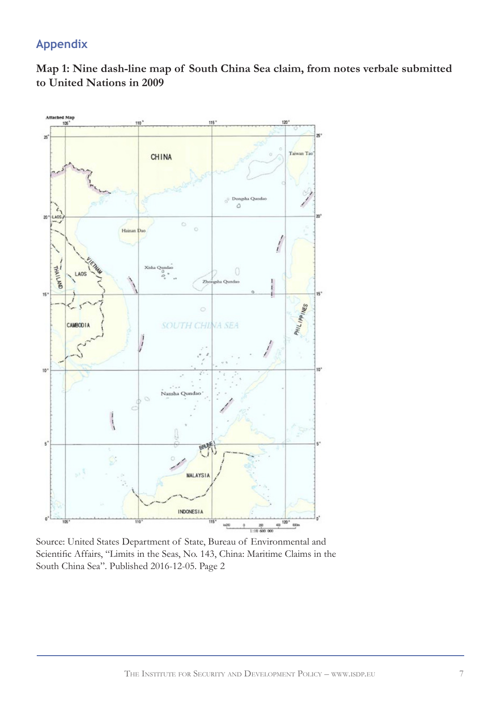# **Appendix**





Source: United States Department of State, Bureau of Environmental and Scientific Affairs, "Limits in the Seas, No. 143, China: Maritime Claims in the South China Sea". Published 2016-12-05. Page 2